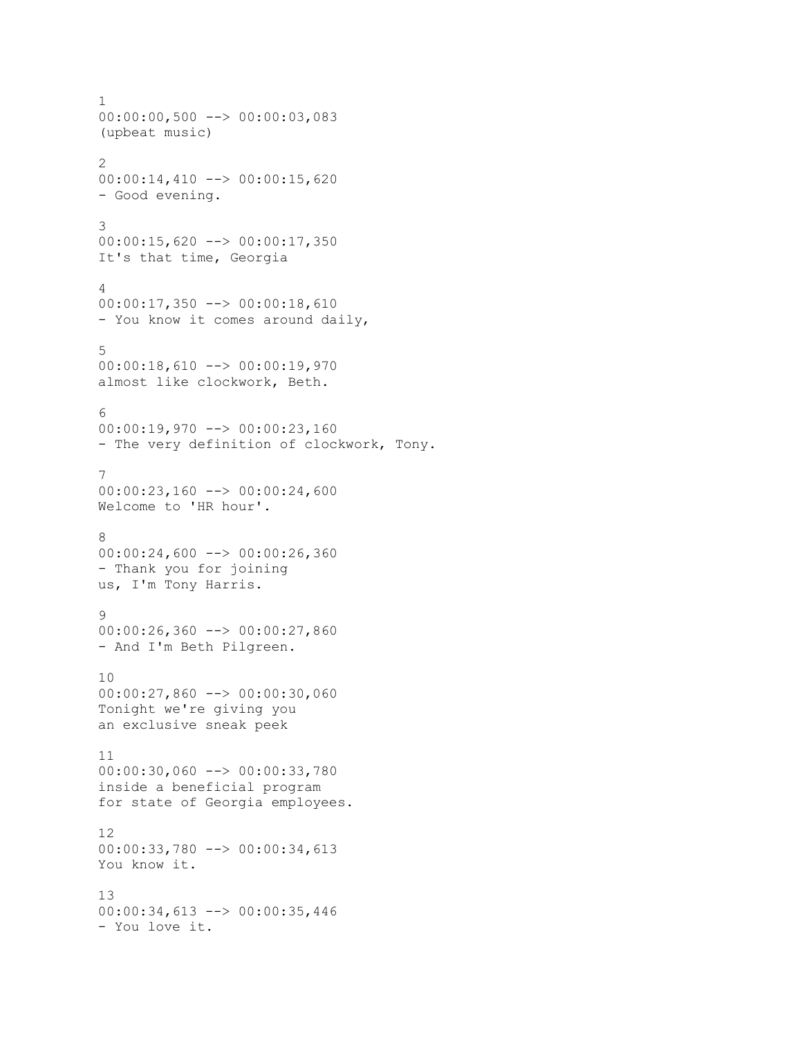```
1
00:00:00,500 --> 00:00:03,083
(upbeat music)
2
00:00:14,410 --> 00:00:15,620
- Good evening.
3
00:00:15,620 --> 00:00:17,350
It's that time, Georgia
4
00:00:17,350 --> 00:00:18,610
- You know it comes around daily,
5
00:00:18,610 --> 00:00:19,970
almost like clockwork, Beth.
6
00:00:19,970 --> 00:00:23,160
- The very definition of clockwork, Tony.
7
00:00:23,160 --> 00:00:24,600
Welcome to 'HR hour'.
8
00:00:24,600 --> 00:00:26,360
- Thank you for joining
us, I'm Tony Harris.
9
00:00:26,360 --> 00:00:27,860
- And I'm Beth Pilgreen.
10
00:00:27,860 --> 00:00:30,060
Tonight we're giving you
an exclusive sneak peek
11
00:00:30,060 --> 00:00:33,780
inside a beneficial program
for state of Georgia employees.
12
00:00:33,780 --> 00:00:34,613
You know it.
13
00:00:34,613 --> 00:00:35,446
- You love it.
```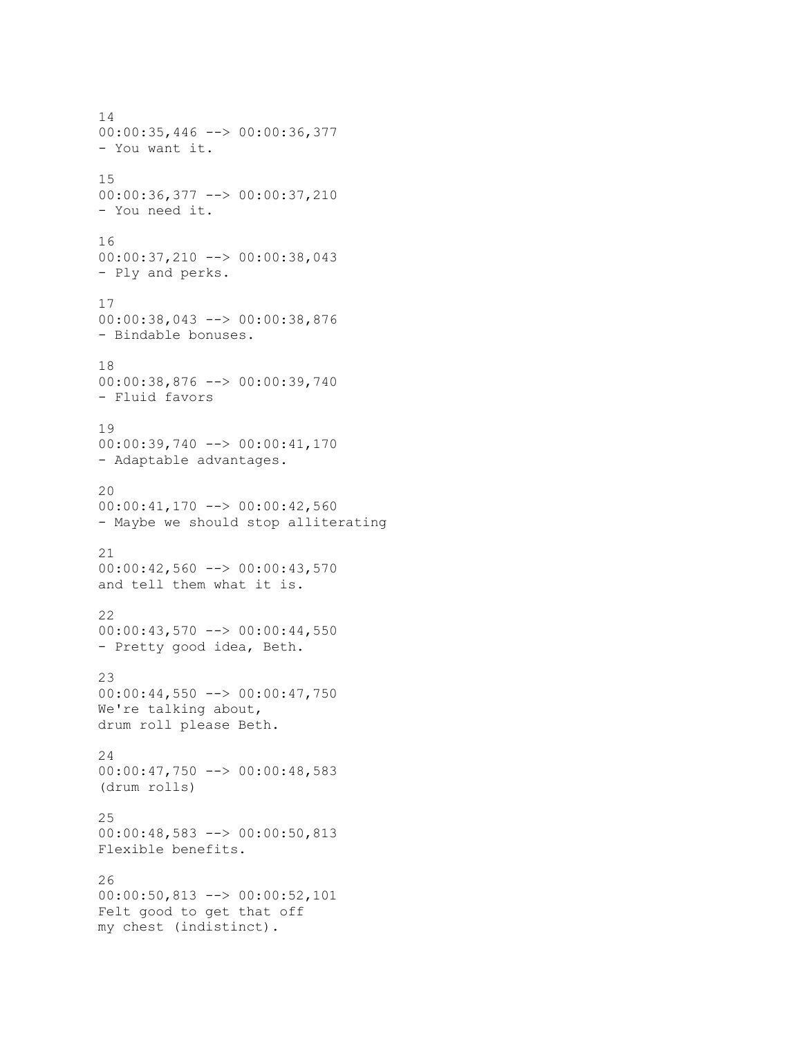14 00:00:35,446 --> 00:00:36,377 - You want it. 15 00:00:36,377 --> 00:00:37,210 - You need it. 16 00:00:37,210 --> 00:00:38,043 - Ply and perks. 17 00:00:38,043 --> 00:00:38,876 - Bindable bonuses. 18 00:00:38,876 --> 00:00:39,740 - Fluid favors 19 00:00:39,740 --> 00:00:41,170 - Adaptable advantages. 20 00:00:41,170 --> 00:00:42,560 - Maybe we should stop alliterating 21 00:00:42,560 --> 00:00:43,570 and tell them what it is. 22 00:00:43,570 --> 00:00:44,550 - Pretty good idea, Beth. 23  $00:00:44,550$  -->  $00:00:47,750$ We're talking about, drum roll please Beth. 24 00:00:47,750 --> 00:00:48,583 (drum rolls) 25 00:00:48,583 --> 00:00:50,813 Flexible benefits. 26 00:00:50,813 --> 00:00:52,101 Felt good to get that off my chest (indistinct).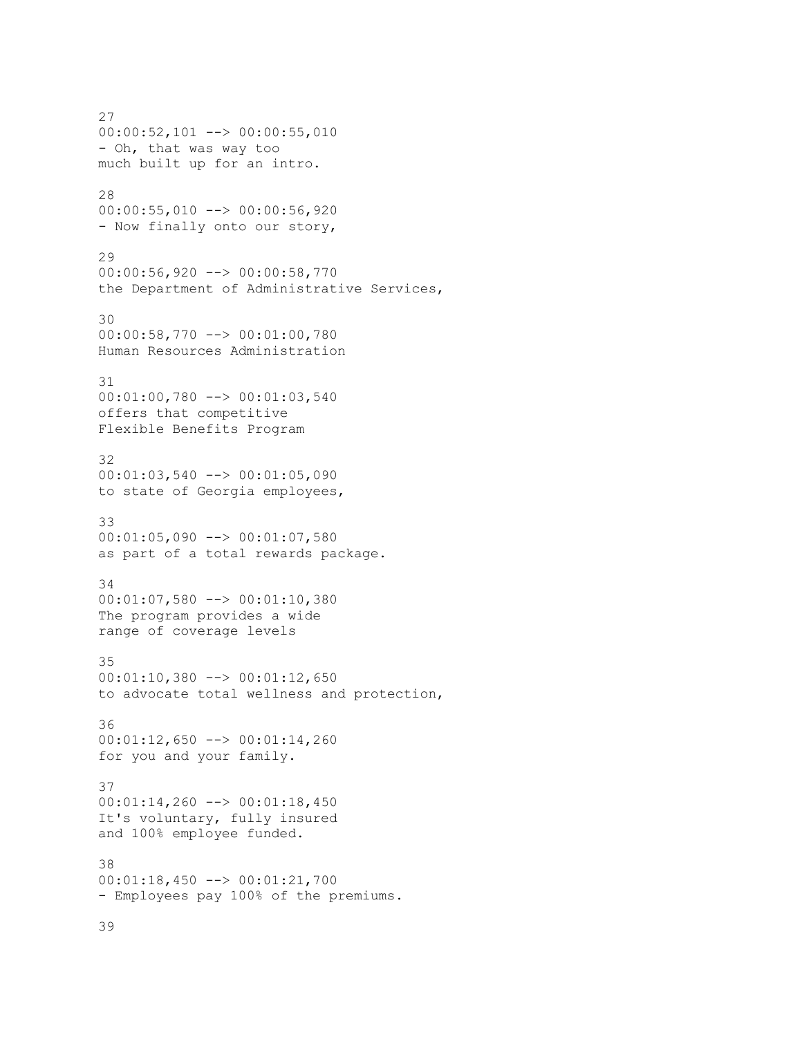27 00:00:52,101 --> 00:00:55,010 - Oh, that was way too much built up for an intro. 28 00:00:55,010 --> 00:00:56,920 - Now finally onto our story, 29 00:00:56,920 --> 00:00:58,770 the Department of Administrative Services, 30 00:00:58,770 --> 00:01:00,780 Human Resources Administration 31 00:01:00,780 --> 00:01:03,540 offers that competitive Flexible Benefits Program 32 00:01:03,540 --> 00:01:05,090 to state of Georgia employees, 33 00:01:05,090 --> 00:01:07,580 as part of a total rewards package. 34 00:01:07,580 --> 00:01:10,380 The program provides a wide range of coverage levels 35 00:01:10,380 --> 00:01:12,650 to advocate total wellness and protection, 36 00:01:12,650 --> 00:01:14,260 for you and your family. 37 00:01:14,260 --> 00:01:18,450 It's voluntary, fully insured and 100% employee funded. 38 00:01:18,450 --> 00:01:21,700 - Employees pay 100% of the premiums.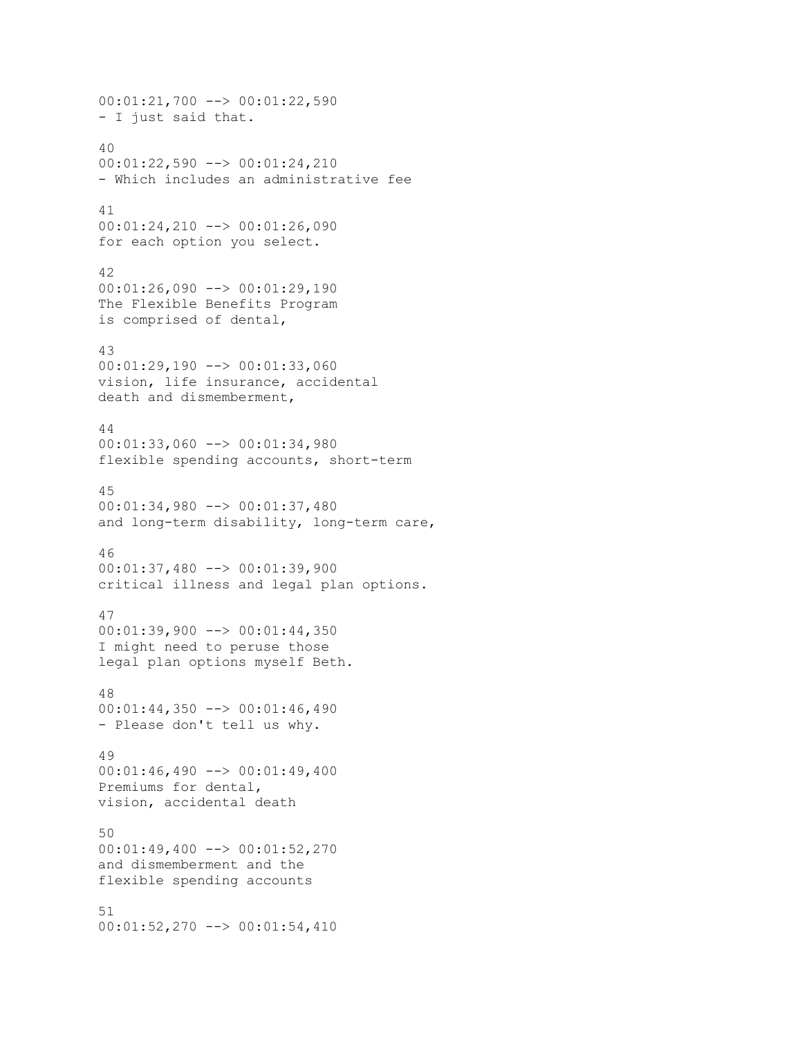```
00:01:21,700 --> 00:01:22,590
- I just said that.
40
00:01:22,590 --> 00:01:24,210
- Which includes an administrative fee
41
00:01:24,210 --> 00:01:26,090
for each option you select.
42
00:01:26,090 --> 00:01:29,190
The Flexible Benefits Program
is comprised of dental,
43
00:01:29,190 --> 00:01:33,060
vision, life insurance, accidental
death and dismemberment,
44
00:01:33,060 --> 00:01:34,980
flexible spending accounts, short-term
45
00:01:34,980 --> 00:01:37,480
and long-term disability, long-term care,
46
00:01:37,480 --> 00:01:39,900
critical illness and legal plan options.
47
00:01:39,900 --> 00:01:44,350
I might need to peruse those
legal plan options myself Beth.
48
00:01:44,350 --> 00:01:46,490
- Please don't tell us why.
49
00:01:46,490 --> 00:01:49,400
Premiums for dental,
vision, accidental death
50
00:01:49,400 --> 00:01:52,270
and dismemberment and the
flexible spending accounts
51
00:01:52,270 --> 00:01:54,410
```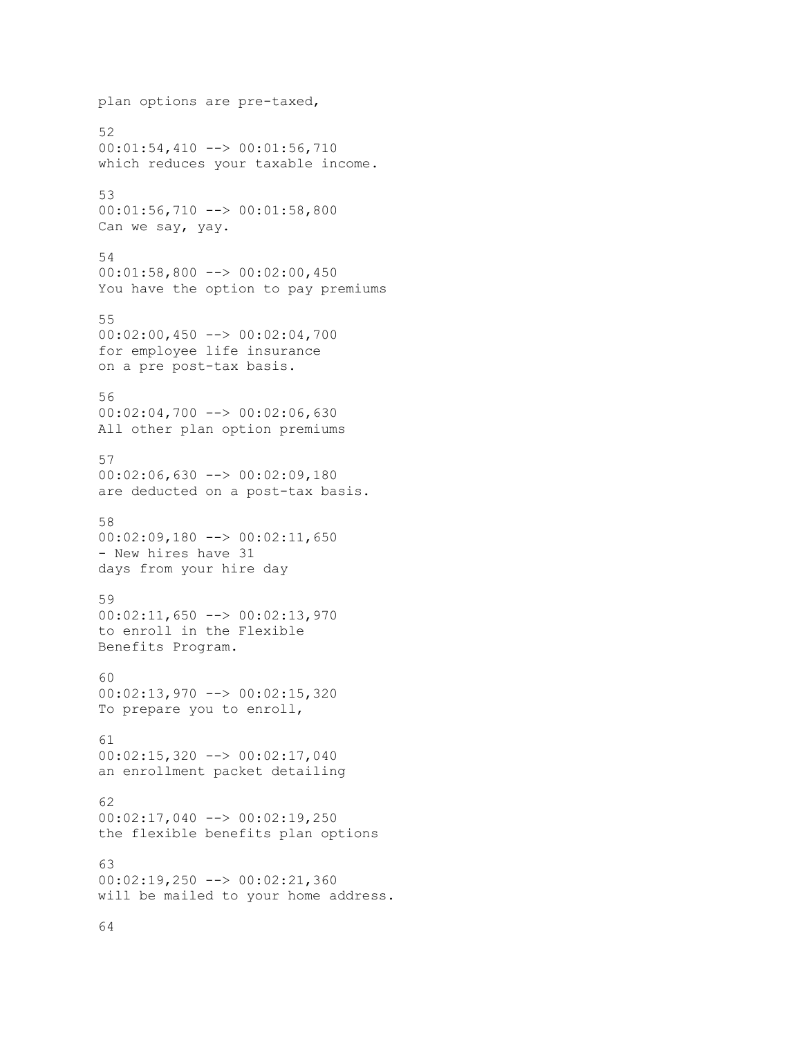```
plan options are pre-taxed,
52
00:01:54,410 --> 00:01:56,710
which reduces your taxable income.
53
00:01:56,710 --> 00:01:58,800
Can we say, yay.
54
00:01:58,800 --> 00:02:00,450
You have the option to pay premiums
55
00:02:00,450 --> 00:02:04,700for employee life insurance
on a pre post-tax basis.
56
00:02:04,700 --> 00:02:06,630
All other plan option premiums
57
00:02:06,630 --> 00:02:09,180
are deducted on a post-tax basis.
58
00:02:09,180 --> 00:02:11,650
- New hires have 31
days from your hire day
59
00:02:11,650 --> 00:02:13,970
to enroll in the Flexible
Benefits Program.
60
00:02:13,970 --> 00:02:15,320
To prepare you to enroll,
61
00:02:15,320 --> 00:02:17,040
an enrollment packet detailing
62
00:02:17,040 --> 00:02:19,250
the flexible benefits plan options
63
00:02:19,250 --> 00:02:21,360
will be mailed to your home address.
```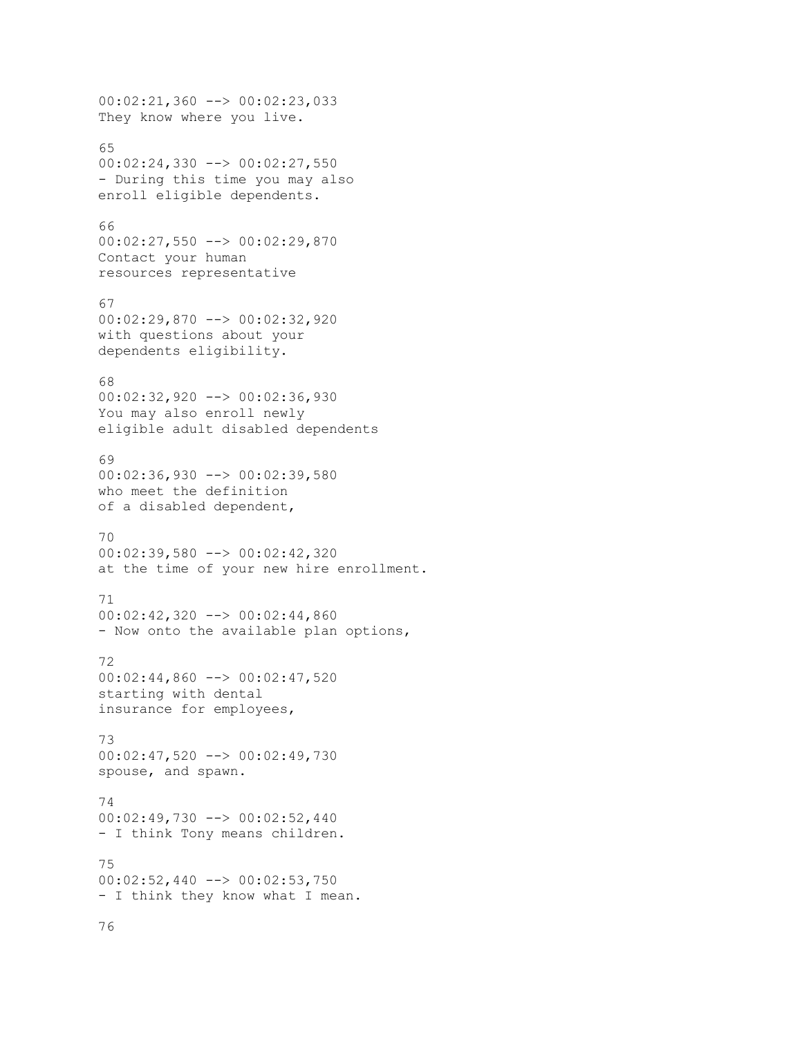```
00:02:21,360 --> 00:02:23,033
They know where you live.
65
00:02:24,330 --> 00:02:27,550
- During this time you may also
enroll eligible dependents.
66
00:02:27,550 --> 00:02:29,870
Contact your human
resources representative
67
00:02:29,870 --> 00:02:32,920
with questions about your
dependents eligibility.
68
00:02:32,920 --> 00:02:36,930
You may also enroll newly
eligible adult disabled dependents
69
00:02:36,930 --> 00:02:39,580who meet the definition
of a disabled dependent,
70
00:02:39,580 --> 00:02:42,320
at the time of your new hire enrollment.
71
00:02:42,320 --> 00:02:44,860
- Now onto the available plan options,
72
00:02:44,860 --> 00:02:47,520
starting with dental
insurance for employees,
73
00:02:47,520 --> 00:02:49,730
spouse, and spawn.
74
00:02:49,730 --> 00:02:52,440
- I think Tony means children.
75
00:02:52,440 --> 00:02:53,750
- I think they know what I mean.
```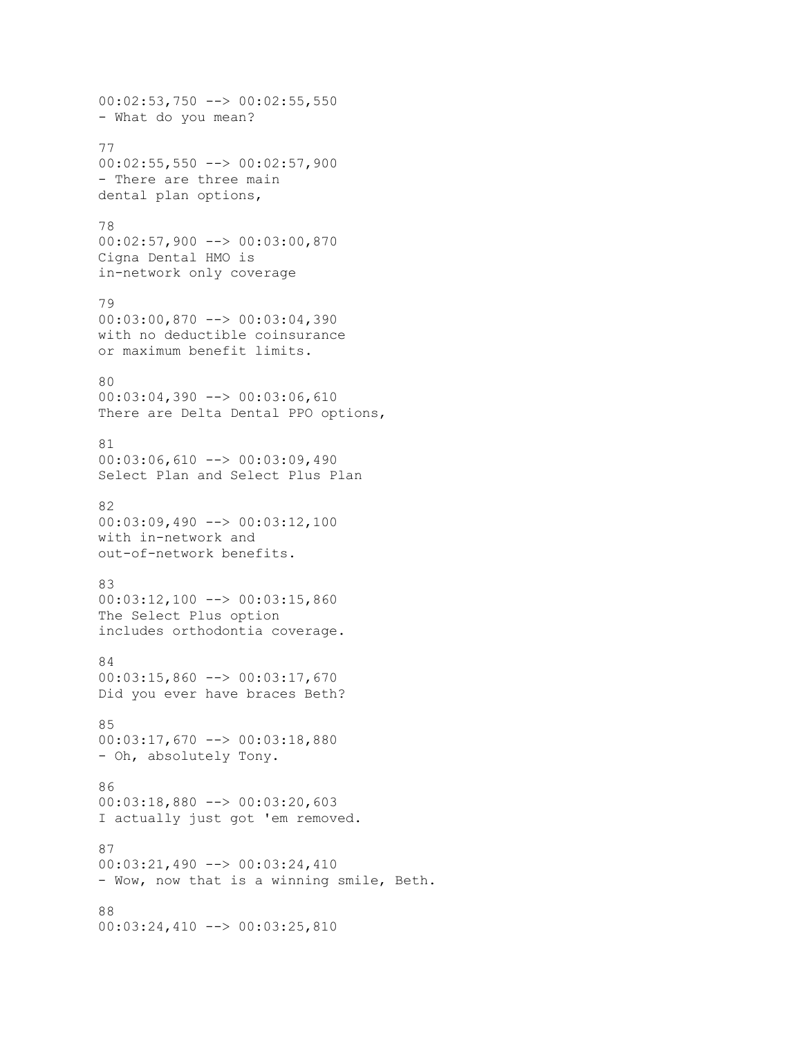```
00:02:53,750 --> 00:02:55,550
- What do you mean?
77
00:02:55,550 --> 00:02:57,900
- There are three main
dental plan options,
78
00:02:57,900 --> 00:03:00,870
Cigna Dental HMO is
in-network only coverage
79
00:03:00,870 --> 00:03:04,390
with no deductible coinsurance
or maximum benefit limits.
80
00:03:04,390 --> 00:03:06,610
There are Delta Dental PPO options,
81
00:03:06,610 --> 00:03:09,490
Select Plan and Select Plus Plan
82
00:03:09,490 --> 00:03:12,100
with in-network and
out-of-network benefits.
83
00:03:12,100 --> 00:03:15,860
The Select Plus option
includes orthodontia coverage.
84
00:03:15,860 --> 00:03:17,670
Did you ever have braces Beth?
85
00:03:17,670 --> 00:03:18,880
- Oh, absolutely Tony.
86
00:03:18,880 --> 00:03:20,603
I actually just got 'em removed.
87
00:03:21,490 --> 00:03:24,410
- Wow, now that is a winning smile, Beth.
88
00:03:24,410 --> 00:03:25,810
```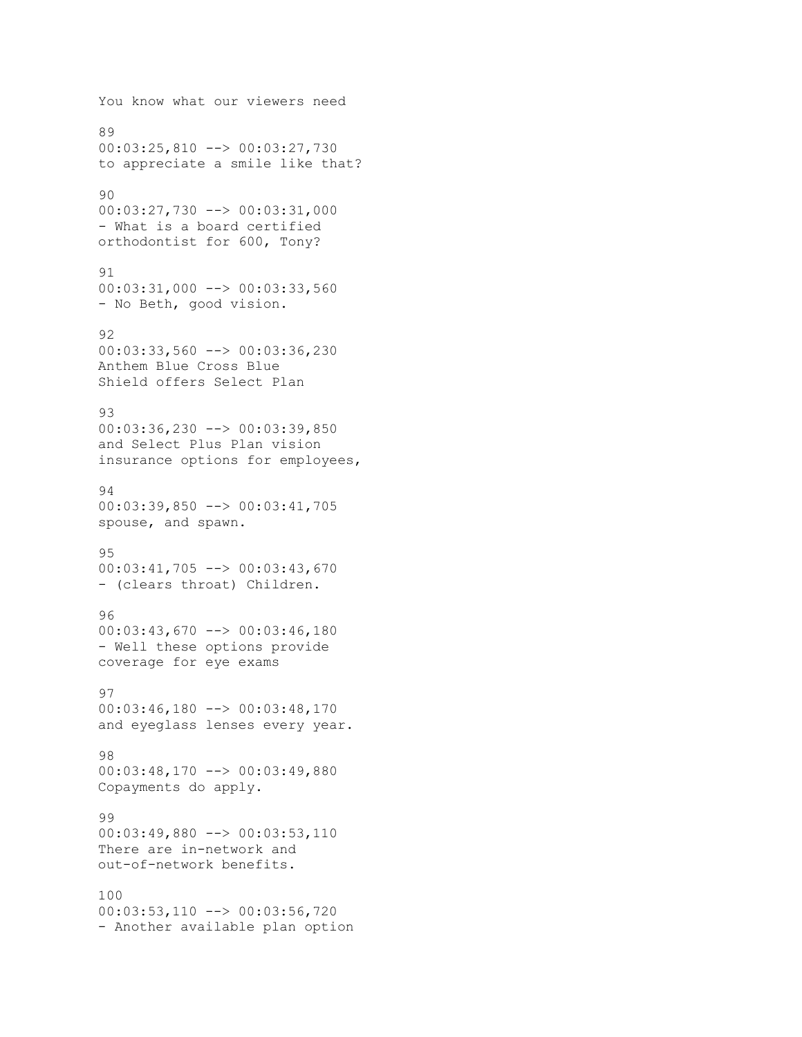```
You know what our viewers need
89
00:03:25,810 --> 00:03:27,730
to appreciate a smile like that?
90
00:03:27,730 --> 00:03:31,000
- What is a board certified
orthodontist for 600, Tony?
91
00:03:31,000 --> 00:03:33,560
- No Beth, good vision.
92
00:03:33,560 --> 00:03:36,230
Anthem Blue Cross Blue
Shield offers Select Plan
93
00:03:36,230 --> 00:03:39,850
and Select Plus Plan vision
insurance options for employees,
94
00:03:39,850 --> 00:03:41,705
spouse, and spawn.
95
00:03:41,705 --> 00:03:43,670
- (clears throat) Children.
96
00:03:43,670 --> 00:03:46,180
- Well these options provide
coverage for eye exams
97
00:03:46,180 --> 00:03:48,170
and eyeglass lenses every year.
98
00:03:48,170 --> 00:03:49,880
Copayments do apply.
99
00:03:49,880 --> 00:03:53,110
There are in-network and
out-of-network benefits.
100
00:03:53,110 --> 00:03:56,720
- Another available plan option
```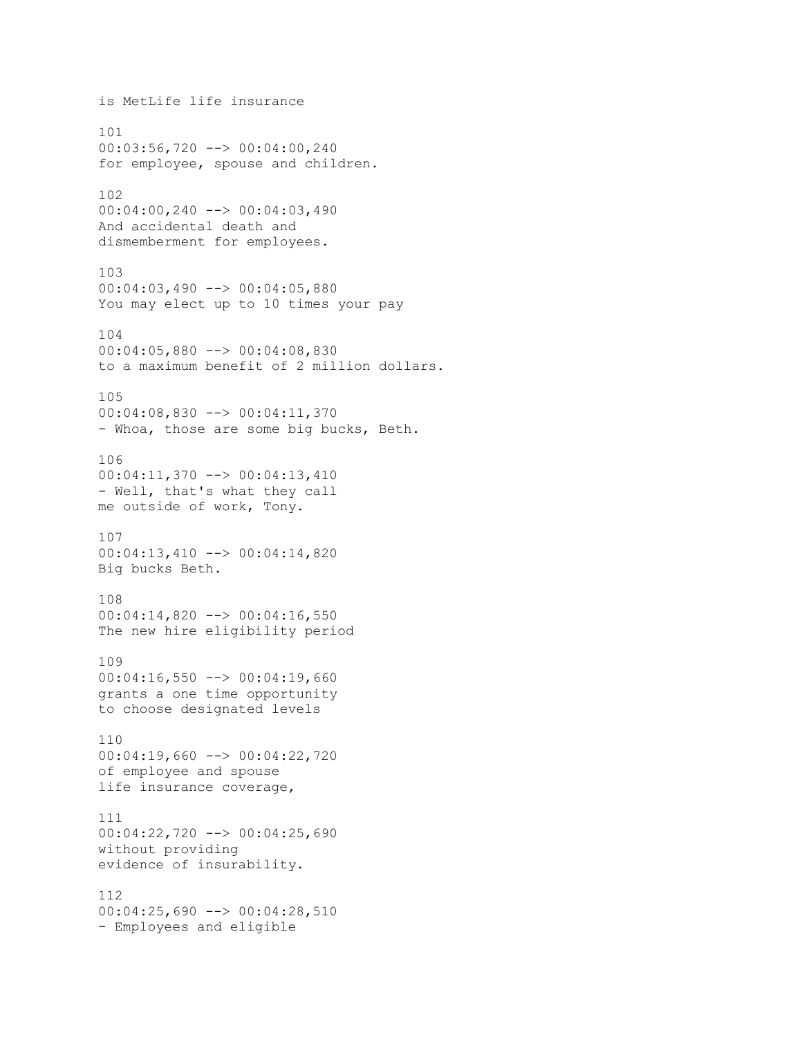is MetLife life insurance 101 00:03:56,720 --> 00:04:00,240 for employee, spouse and children. 102 00:04:00,240 --> 00:04:03,490 And accidental death and dismemberment for employees. 103 00:04:03,490 --> 00:04:05,880 You may elect up to 10 times your pay 104 00:04:05,880 --> 00:04:08,830 to a maximum benefit of 2 million dollars. 105 00:04:08,830 --> 00:04:11,370 - Whoa, those are some big bucks, Beth. 106 00:04:11,370 --> 00:04:13,410 - Well, that's what they call me outside of work, Tony. 107 00:04:13,410 --> 00:04:14,820 Big bucks Beth. 108 00:04:14,820 --> 00:04:16,550 The new hire eligibility period 109  $00:04:16,550$  -->  $00:04:19,660$ grants a one time opportunity to choose designated levels 110 00:04:19,660 --> 00:04:22,720 of employee and spouse life insurance coverage, 111 00:04:22,720 --> 00:04:25,690 without providing evidence of insurability. 112 00:04:25,690 --> 00:04:28,510 - Employees and eligible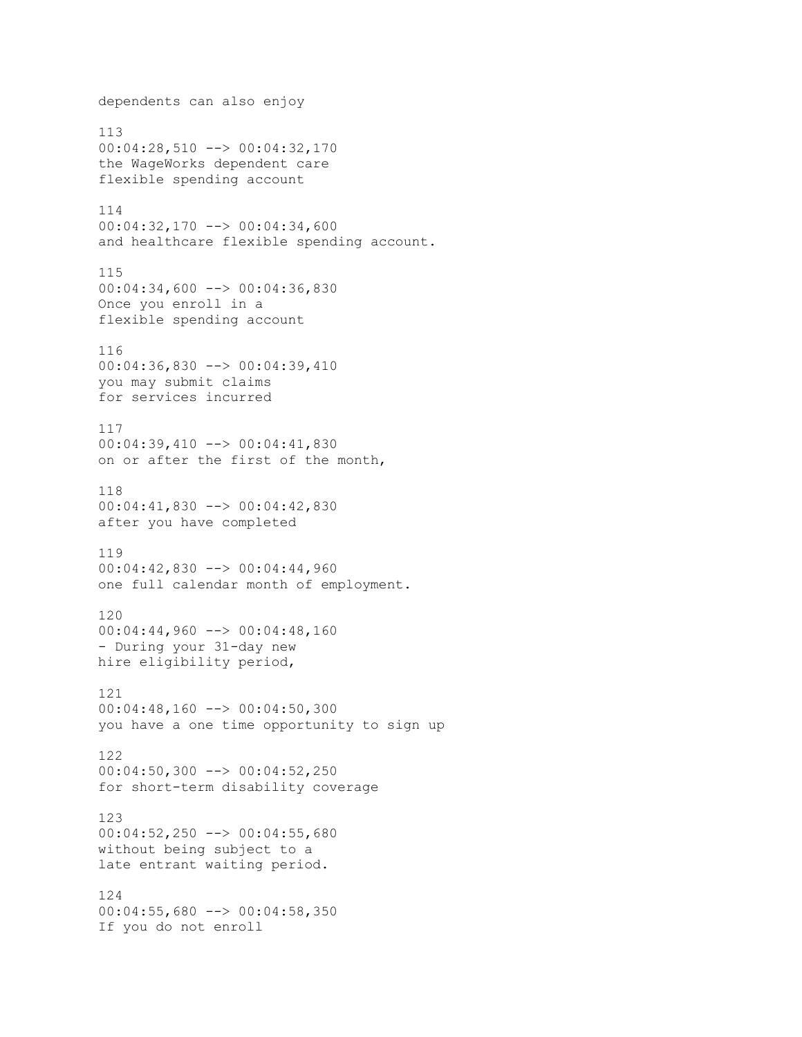```
dependents can also enjoy
113
00:04:28,510 --> 00:04:32,170
the WageWorks dependent care
flexible spending account
114
00:04:32,170 --> 00:04:34,600
and healthcare flexible spending account.
115
00:04:34,600 --> 00:04:36,830
Once you enroll in a
flexible spending account
116
00:04:36,830 --> 00:04:39,410
you may submit claims
for services incurred
117
00:04:39,410 --> 00:04:41,830
on or after the first of the month,
118
00:04:41,830 --> 00:04:42,830
after you have completed
119
00:04:42,830 --> 00:04:44,960
one full calendar month of employment.
120
00:04:44,960 --> 00:04:48,160
- During your 31-day new
hire eligibility period,
121
00:04:48,160 --> 00:04:50,300
you have a one time opportunity to sign up
122
00:04:50,300 --> 00:04:52,250
for short-term disability coverage
123
00:04:52,250 --> 00:04:55,680
without being subject to a
late entrant waiting period.
124
00:04:55,680 --> 00:04:58,350If you do not enroll
```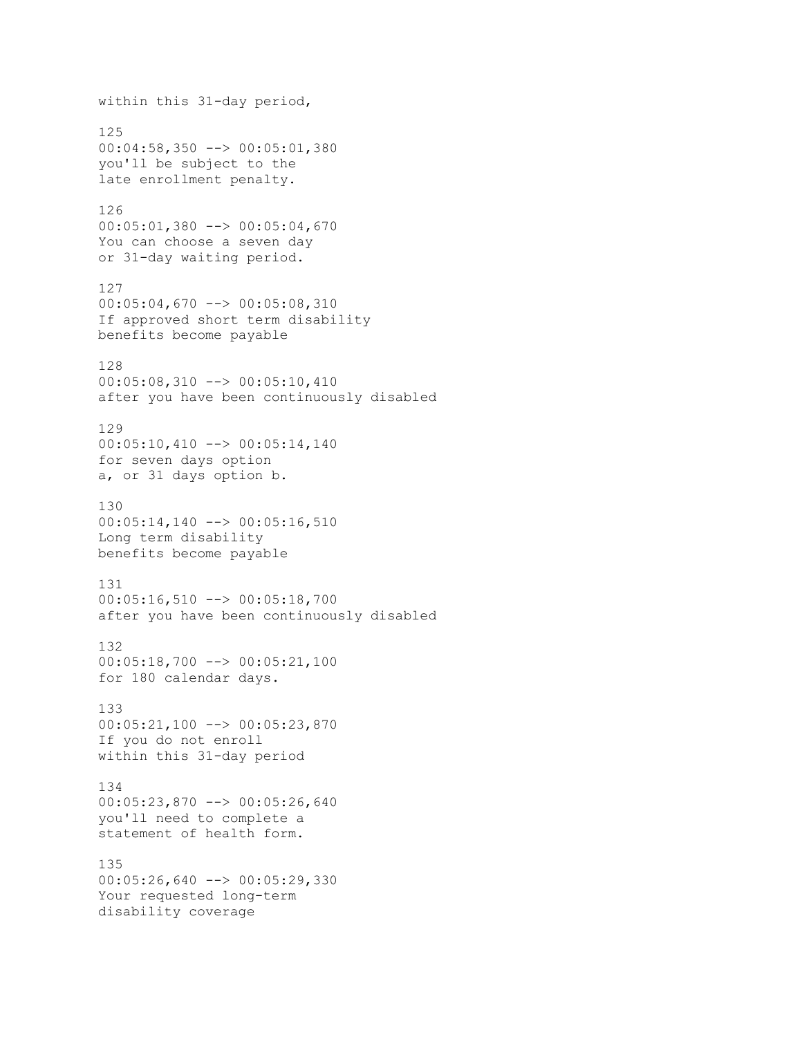within this 31-day period, 125 00:04:58,350 --> 00:05:01,380 you'll be subject to the late enrollment penalty. 126 00:05:01,380 --> 00:05:04,670 You can choose a seven day or 31-day waiting period. 127 00:05:04,670 --> 00:05:08,310 If approved short term disability benefits become payable 128 00:05:08,310 --> 00:05:10,410 after you have been continuously disabled 129 00:05:10,410 --> 00:05:14,140 for seven days option a, or 31 days option b. 130 00:05:14,140 --> 00:05:16,510 Long term disability benefits become payable 131 00:05:16,510 --> 00:05:18,700 after you have been continuously disabled 132 00:05:18,700 --> 00:05:21,100 for 180 calendar days. 133 00:05:21,100 --> 00:05:23,870 If you do not enroll within this 31-day period 134 00:05:23,870 --> 00:05:26,640 you'll need to complete a statement of health form. 135 00:05:26,640 --> 00:05:29,330 Your requested long-term disability coverage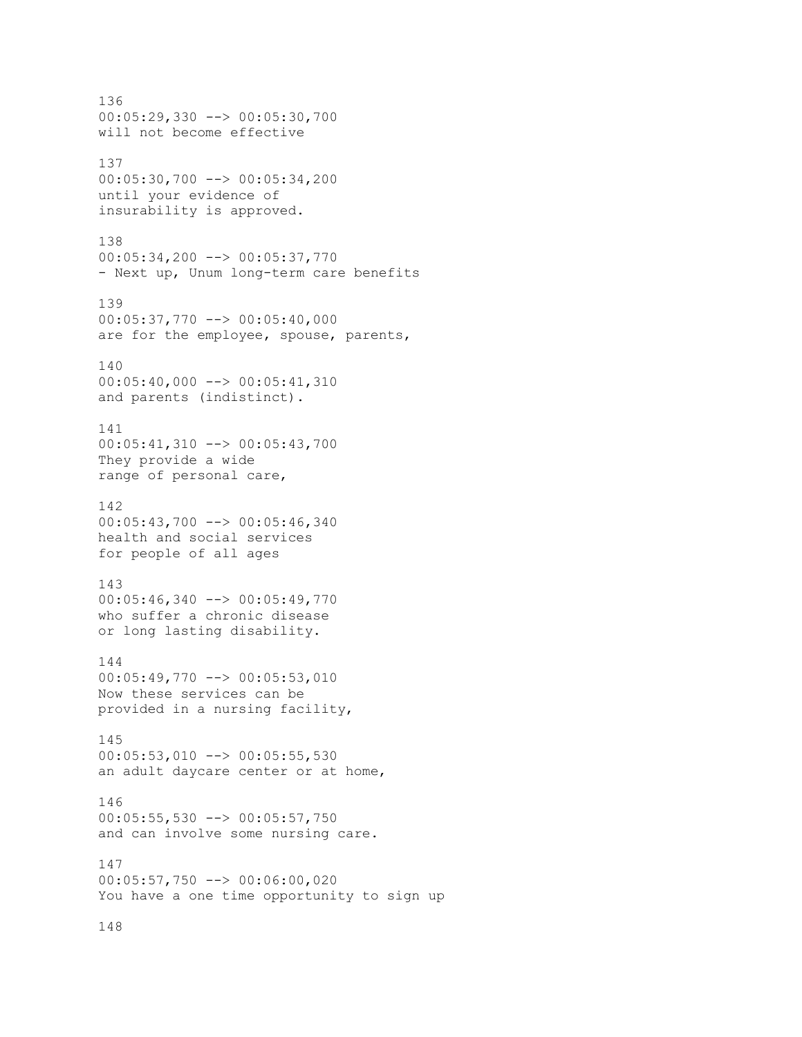136 00:05:29,330 --> 00:05:30,700 will not become effective 137 00:05:30,700 --> 00:05:34,200 until your evidence of insurability is approved. 138 00:05:34,200 --> 00:05:37,770 - Next up, Unum long-term care benefits 139 00:05:37,770 --> 00:05:40,000 are for the employee, spouse, parents, 140 00:05:40,000 --> 00:05:41,310 and parents (indistinct). 141 00:05:41,310 --> 00:05:43,700 They provide a wide range of personal care, 142 00:05:43,700 --> 00:05:46,340 health and social services for people of all ages 143 00:05:46,340 --> 00:05:49,770 who suffer a chronic disease or long lasting disability. 144 00:05:49,770 --> 00:05:53,010 Now these services can be provided in a nursing facility, 145 00:05:53,010 --> 00:05:55,530 an adult daycare center or at home, 146 00:05:55,530 --> 00:05:57,750 and can involve some nursing care. 147 00:05:57,750 --> 00:06:00,020 You have a one time opportunity to sign up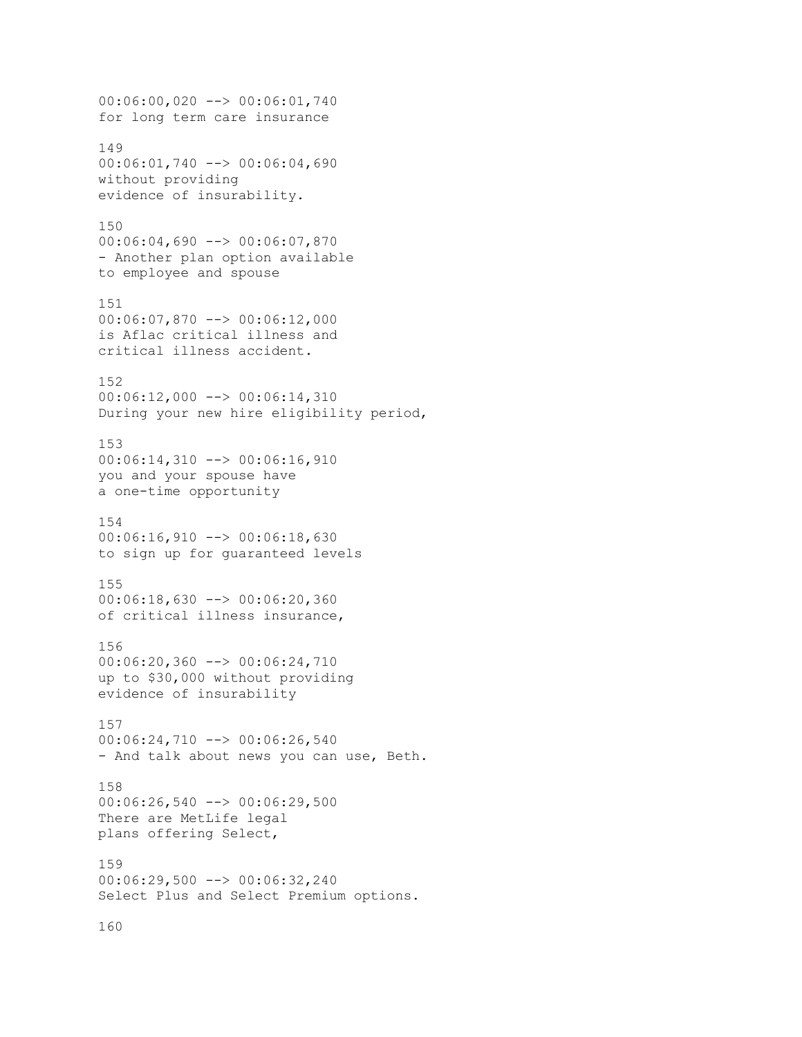00:06:00,020 --> 00:06:01,740 for long term care insurance 149 00:06:01,740 --> 00:06:04,690 without providing evidence of insurability. 150 00:06:04,690 --> 00:06:07,870 - Another plan option available to employee and spouse 151 00:06:07,870 --> 00:06:12,000 is Aflac critical illness and critical illness accident. 152 00:06:12,000 --> 00:06:14,310 During your new hire eligibility period, 153 00:06:14,310 --> 00:06:16,910 you and your spouse have a one-time opportunity 154 00:06:16,910 --> 00:06:18,630 to sign up for guaranteed levels 155 00:06:18,630 --> 00:06:20,360 of critical illness insurance, 156 00:06:20,360 --> 00:06:24,710 up to \$30,000 without providing evidence of insurability 157 00:06:24,710 --> 00:06:26,540 - And talk about news you can use, Beth. 158  $00:06:26,540$  -->  $00:06:29,500$ There are MetLife legal plans offering Select, 159 00:06:29,500 --> 00:06:32,240 Select Plus and Select Premium options.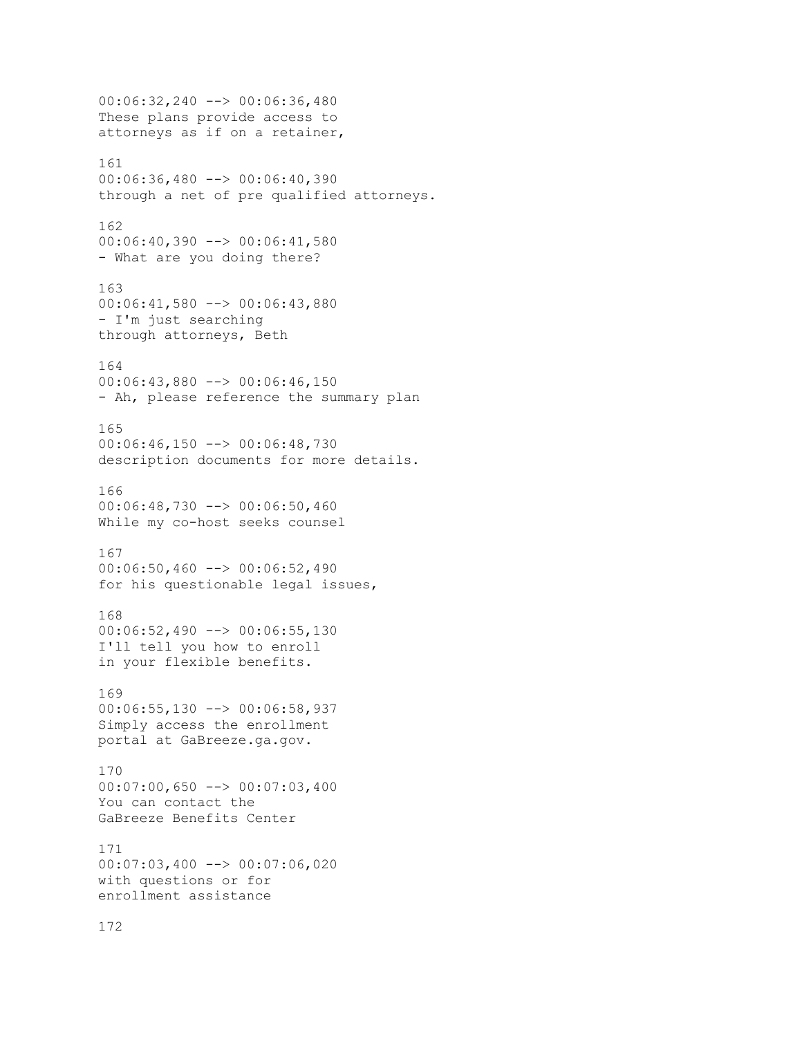00:06:32,240 --> 00:06:36,480 These plans provide access to attorneys as if on a retainer, 161 00:06:36,480 --> 00:06:40,390 through a net of pre qualified attorneys. 162 00:06:40,390 --> 00:06:41,580 - What are you doing there? 163 00:06:41,580 --> 00:06:43,880 - I'm just searching through attorneys, Beth 164 00:06:43,880 --> 00:06:46,150 - Ah, please reference the summary plan 165 00:06:46,150 --> 00:06:48,730 description documents for more details. 166 00:06:48,730 --> 00:06:50,460 While my co-host seeks counsel 167 00:06:50,460 --> 00:06:52,490 for his questionable legal issues, 168 00:06:52,490 --> 00:06:55,130 I'll tell you how to enroll in your flexible benefits. 169 00:06:55,130 --> 00:06:58,937 Simply access the enrollment portal at GaBreeze.ga.gov. 170  $00:07:00,650$  -->  $00:07:03,400$ You can contact the GaBreeze Benefits Center 171 00:07:03,400 --> 00:07:06,020 with questions or for enrollment assistance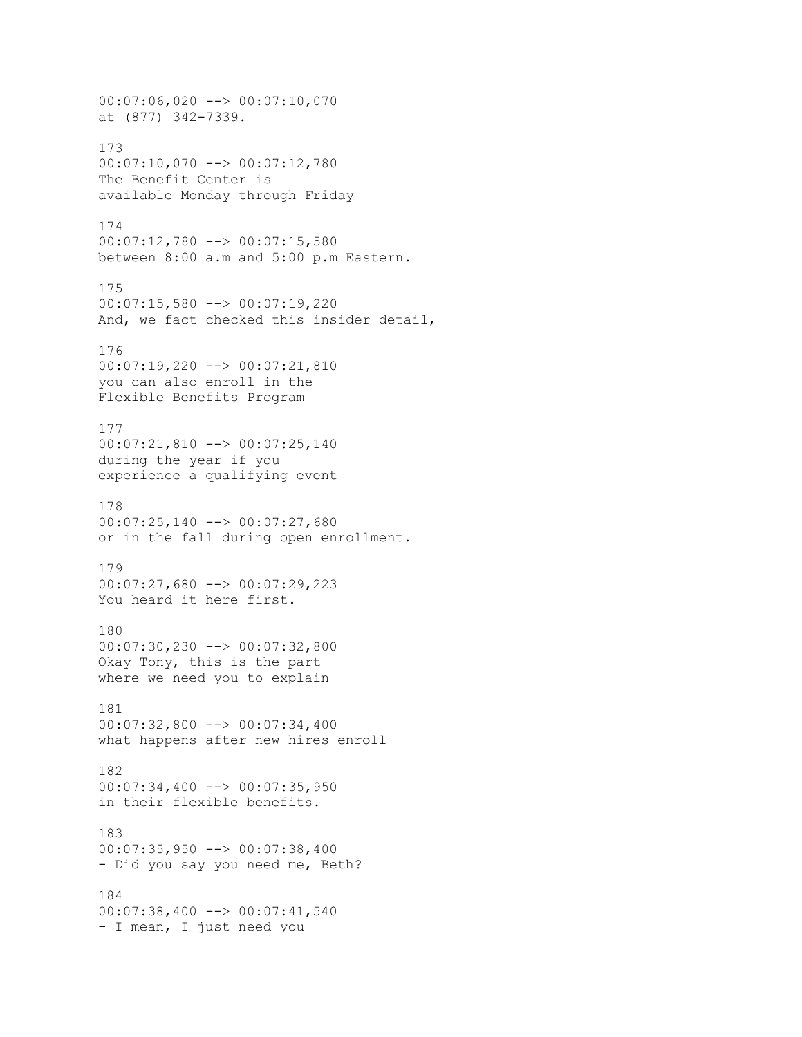00:07:06,020 --> 00:07:10,070 at (877) 342-7339. 173 00:07:10,070 --> 00:07:12,780 The Benefit Center is available Monday through Friday 174 00:07:12,780 --> 00:07:15,580 between 8:00 a.m and 5:00 p.m Eastern. 175 00:07:15,580 --> 00:07:19,220 And, we fact checked this insider detail, 176 00:07:19,220 --> 00:07:21,810 you can also enroll in the Flexible Benefits Program 177 00:07:21,810 --> 00:07:25,140 during the year if you experience a qualifying event 178 00:07:25,140 --> 00:07:27,680 or in the fall during open enrollment. 179 00:07:27,680 --> 00:07:29,223 You heard it here first. 180 00:07:30,230 --> 00:07:32,800 Okay Tony, this is the part where we need you to explain 181 00:07:32,800 --> 00:07:34,400 what happens after new hires enroll 182  $00:07:34,400$  -->  $00:07:35,950$ in their flexible benefits. 183 00:07:35,950 --> 00:07:38,400 - Did you say you need me, Beth? 184 00:07:38,400 --> 00:07:41,540 - I mean, I just need you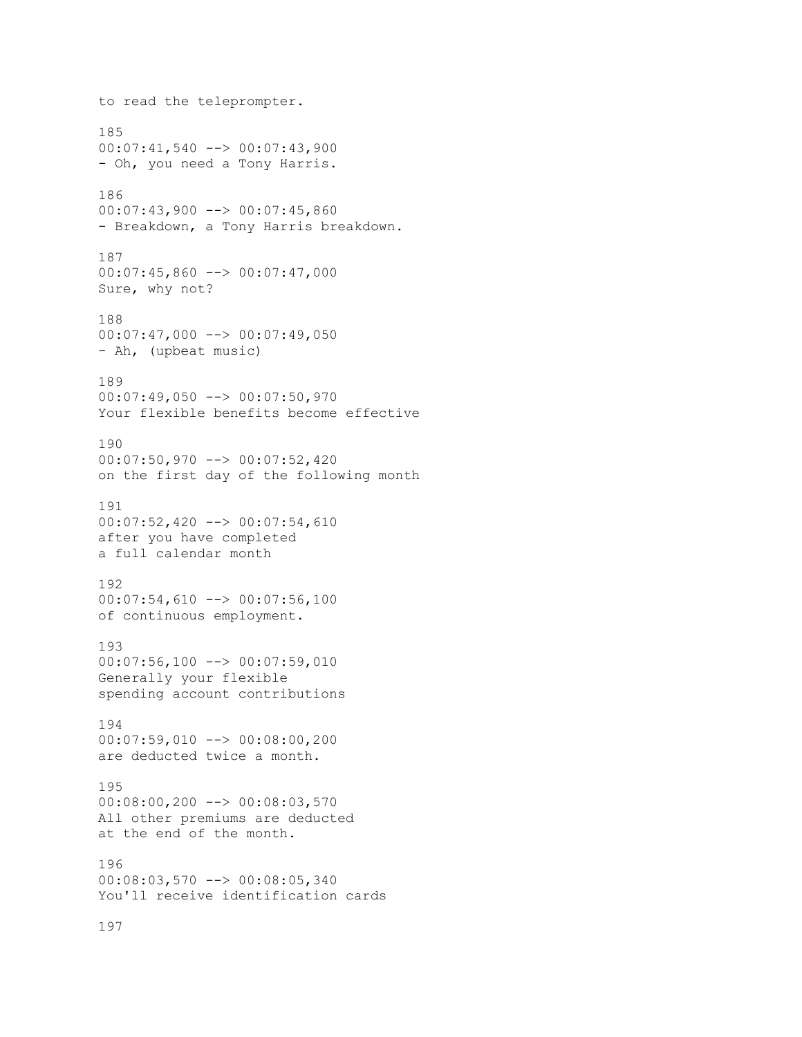```
to read the teleprompter.
185
00:07:41,540 --> 00:07:43,900
- Oh, you need a Tony Harris.
186
00:07:43,900 --> 00:07:45,860
- Breakdown, a Tony Harris breakdown.
187
00:07:45,860 --> 00:07:47,000
Sure, why not?
188
00:07:47,000 --> 00:07:49,050- Ah, (upbeat music)
189
00:07:49,050 --> 00:07:50,970
Your flexible benefits become effective
190
00:07:50,970 --> 00:07:52,420
on the first day of the following month
191
00:07:52,420 --> 00:07:54,610
after you have completed
a full calendar month
192
00:07:54,610 --> 00:07:56,100
of continuous employment.
193
00:07:56,100 --> 00:07:59,010
Generally your flexible
spending account contributions
194
00:07:59,010 --> 00:08:00,200
are deducted twice a month.
195
00:08:00,200 --> 00:08:03,570
All other premiums are deducted
at the end of the month.
196
00:08:03,570 --> 00:08:05,340
You'll receive identification cards
```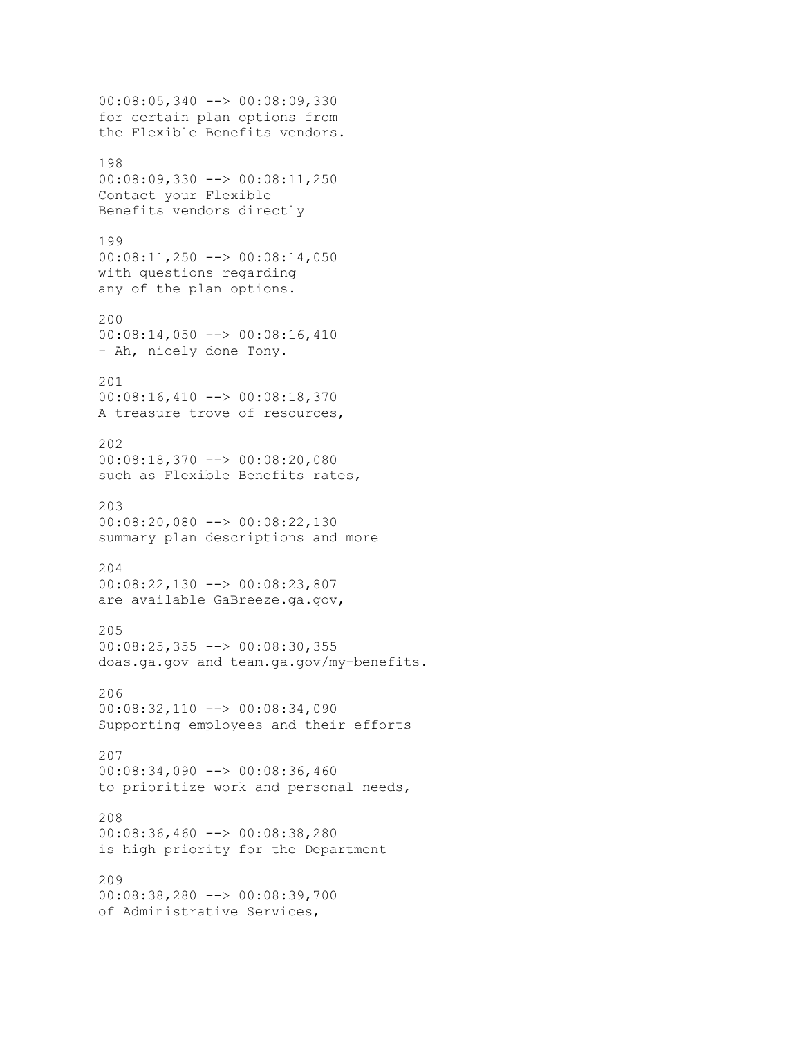```
00:08:05,340 --> 00:08:09,330
for certain plan options from
the Flexible Benefits vendors.
198
00:08:09,330 --> 00:08:11,250
Contact your Flexible
Benefits vendors directly
199
00:08:11,250 --> 00:08:14,050
with questions regarding
any of the plan options.
200
00:08:14,050 --> 00:08:16,410
- Ah, nicely done Tony.
201
00:08:16,410 --> 00:08:18,370
A treasure trove of resources,
202
00:08:18,370 --> 00:08:20,080
such as Flexible Benefits rates,
203
00:08:20,080 --> 00:08:22,130
summary plan descriptions and more
204
00:08:22,130 --> 00:08:23,807
are available GaBreeze.ga.gov,
205
00:08:25,355 --> 00:08:30,355
doas.ga.gov and team.ga.gov/my-benefits.
206
00:08:32,110 --> 00:08:34,090
Supporting employees and their efforts
207
00:08:34,090 --> 00:08:36,460
to prioritize work and personal needs,
208
00:08:36,460 --> 00:08:38,280
is high priority for the Department
209
00:08:38,280 --> 00:08:39,700
of Administrative Services,
```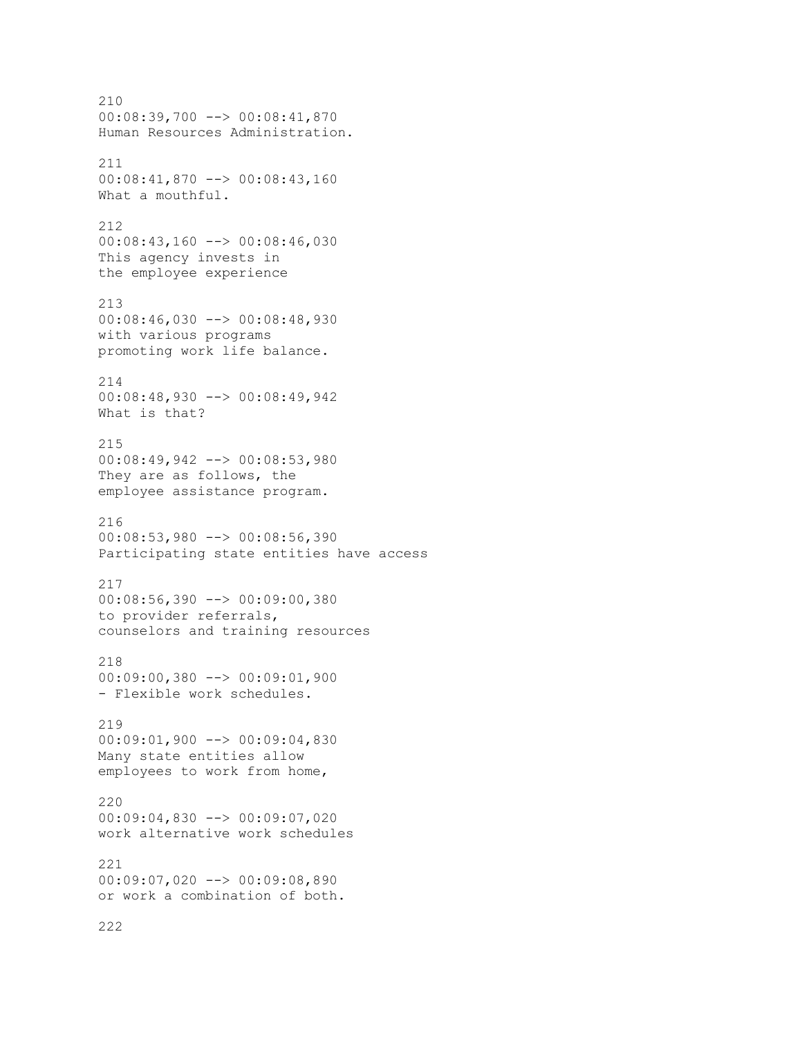210 00:08:39,700 --> 00:08:41,870 Human Resources Administration. 211 00:08:41,870 --> 00:08:43,160 What a mouthful. 212 00:08:43,160 --> 00:08:46,030 This agency invests in the employee experience 213 00:08:46,030 --> 00:08:48,930 with various programs promoting work life balance. 214 00:08:48,930 --> 00:08:49,942 What is that? 215 00:08:49,942 --> 00:08:53,980 They are as follows, the employee assistance program. 216 00:08:53,980 --> 00:08:56,390 Participating state entities have access 217 00:08:56,390 --> 00:09:00,380 to provider referrals, counselors and training resources 218 00:09:00,380 --> 00:09:01,900 - Flexible work schedules. 219 00:09:01,900 --> 00:09:04,830 Many state entities allow employees to work from home, 220 00:09:04,830 --> 00:09:07,020 work alternative work schedules 221 00:09:07,020 --> 00:09:08,890 or work a combination of both.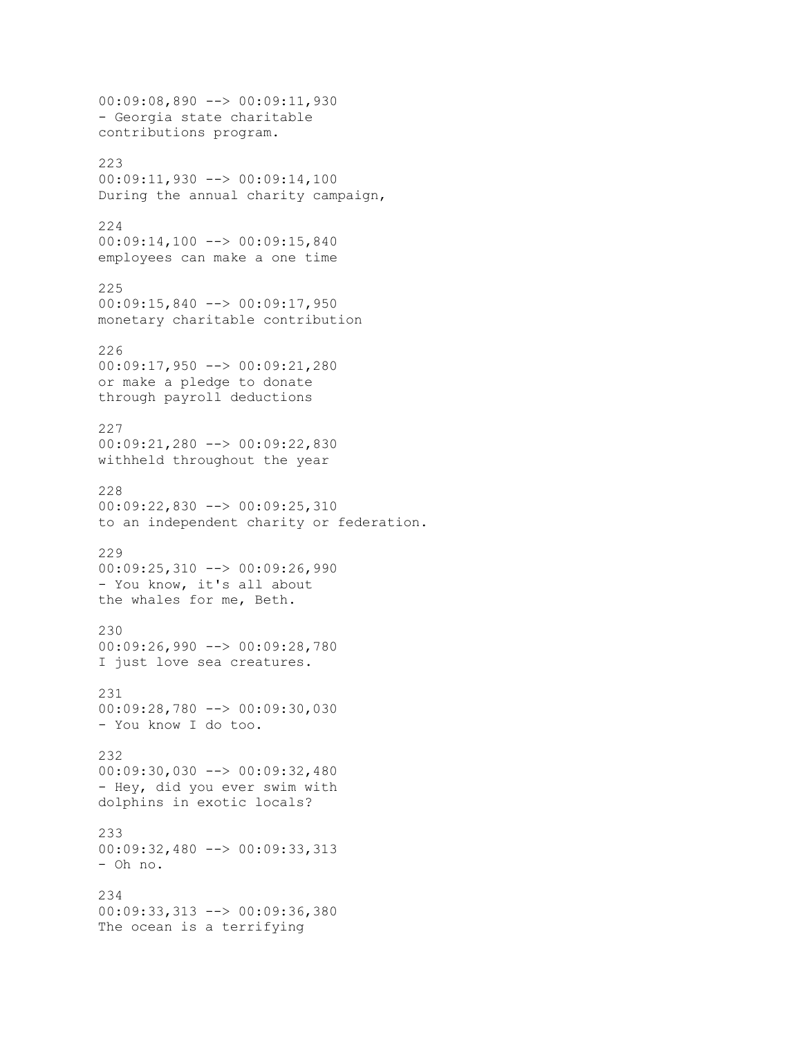00:09:08,890 --> 00:09:11,930 - Georgia state charitable contributions program. 223 00:09:11,930 --> 00:09:14,100 During the annual charity campaign, 224 00:09:14,100 --> 00:09:15,840 employees can make a one time 225 00:09:15,840 --> 00:09:17,950 monetary charitable contribution 226 00:09:17,950 --> 00:09:21,280 or make a pledge to donate through payroll deductions 227 00:09:21,280 --> 00:09:22,830 withheld throughout the year 228 00:09:22,830 --> 00:09:25,310 to an independent charity or federation. 229 00:09:25,310 --> 00:09:26,990 - You know, it's all about the whales for me, Beth. 230 00:09:26,990 --> 00:09:28,780 I just love sea creatures. 231 00:09:28,780 --> 00:09:30,030 - You know I do too. 232 00:09:30,030 --> 00:09:32,480 - Hey, did you ever swim with dolphins in exotic locals? 233 00:09:32,480 --> 00:09:33,313 - Oh no. 234 00:09:33,313 --> 00:09:36,380 The ocean is a terrifying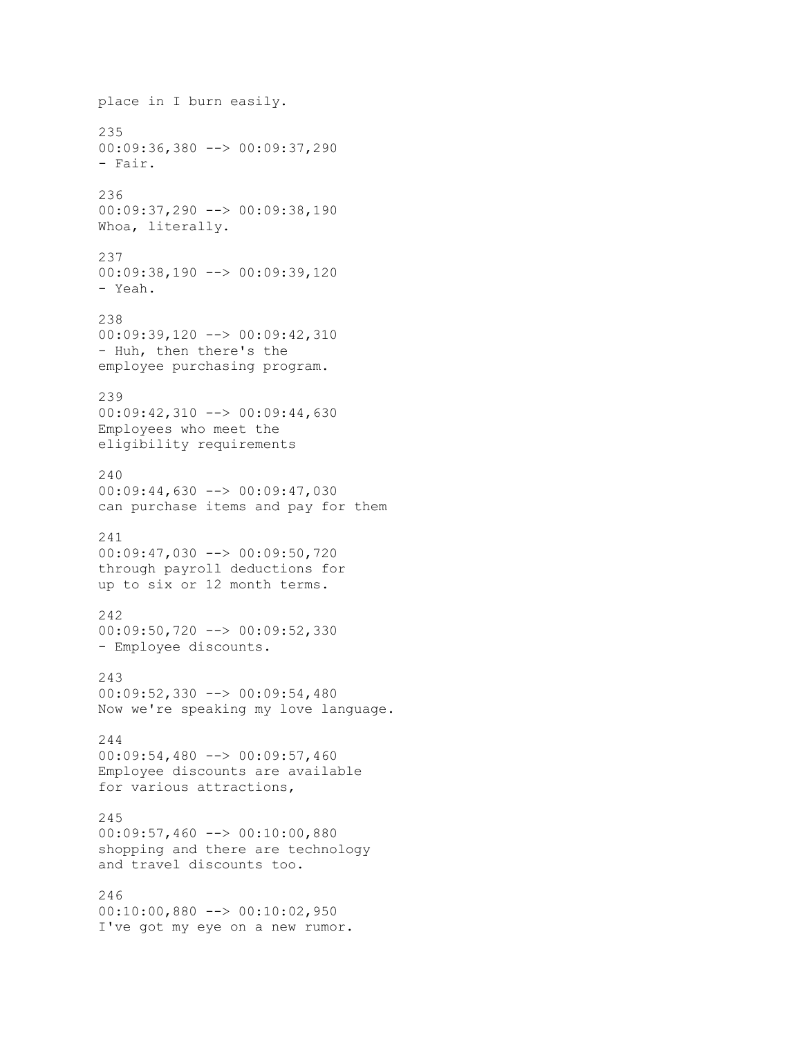place in I burn easily. 235 00:09:36,380 --> 00:09:37,290 - Fair. 236 00:09:37,290 --> 00:09:38,190 Whoa, literally. 237 00:09:38,190 --> 00:09:39,120 - Yeah. 238 00:09:39,120 --> 00:09:42,310 - Huh, then there's the employee purchasing program. 239 00:09:42,310 --> 00:09:44,630 Employees who meet the eligibility requirements  $240$ 00:09:44,630 --> 00:09:47,030 can purchase items and pay for them 241 00:09:47,030 --> 00:09:50,720 through payroll deductions for up to six or 12 month terms. 242 00:09:50,720 --> 00:09:52,330 - Employee discounts. 243 00:09:52,330 --> 00:09:54,480 Now we're speaking my love language. 244 00:09:54,480 --> 00:09:57,460 Employee discounts are available for various attractions, 245 00:09:57,460 --> 00:10:00,880 shopping and there are technology and travel discounts too. 246 00:10:00,880 --> 00:10:02,950 I've got my eye on a new rumor.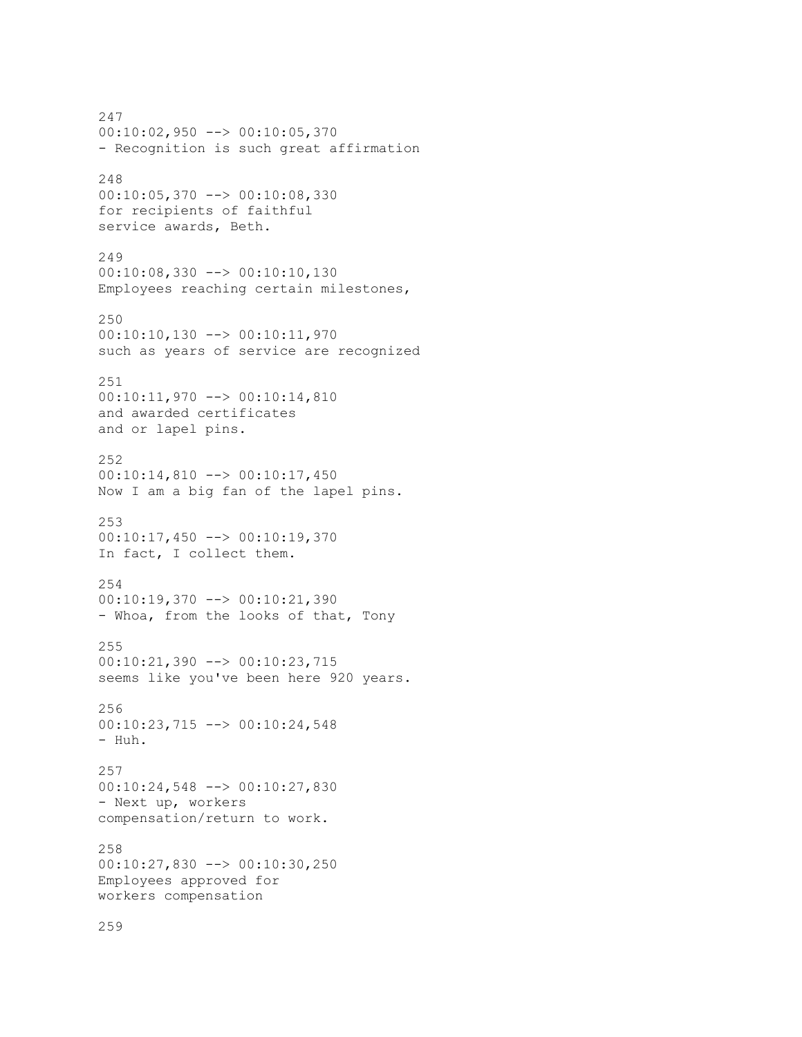247 00:10:02,950 --> 00:10:05,370 - Recognition is such great affirmation 248 00:10:05,370 --> 00:10:08,330 for recipients of faithful service awards, Beth. 249 00:10:08,330 --> 00:10:10,130 Employees reaching certain milestones, 250 00:10:10,130 --> 00:10:11,970 such as years of service are recognized 251 00:10:11,970 --> 00:10:14,810 and awarded certificates and or lapel pins. 252 00:10:14,810 --> 00:10:17,450 Now I am a big fan of the lapel pins. 253 00:10:17,450 --> 00:10:19,370 In fact, I collect them. 254 00:10:19,370 --> 00:10:21,390 - Whoa, from the looks of that, Tony 255 00:10:21,390 --> 00:10:23,715 seems like you've been here 920 years. 256 00:10:23,715 --> 00:10:24,548 - Huh. 257 00:10:24,548 --> 00:10:27,830 - Next up, workers compensation/return to work. 258 00:10:27,830 --> 00:10:30,250 Employees approved for workers compensation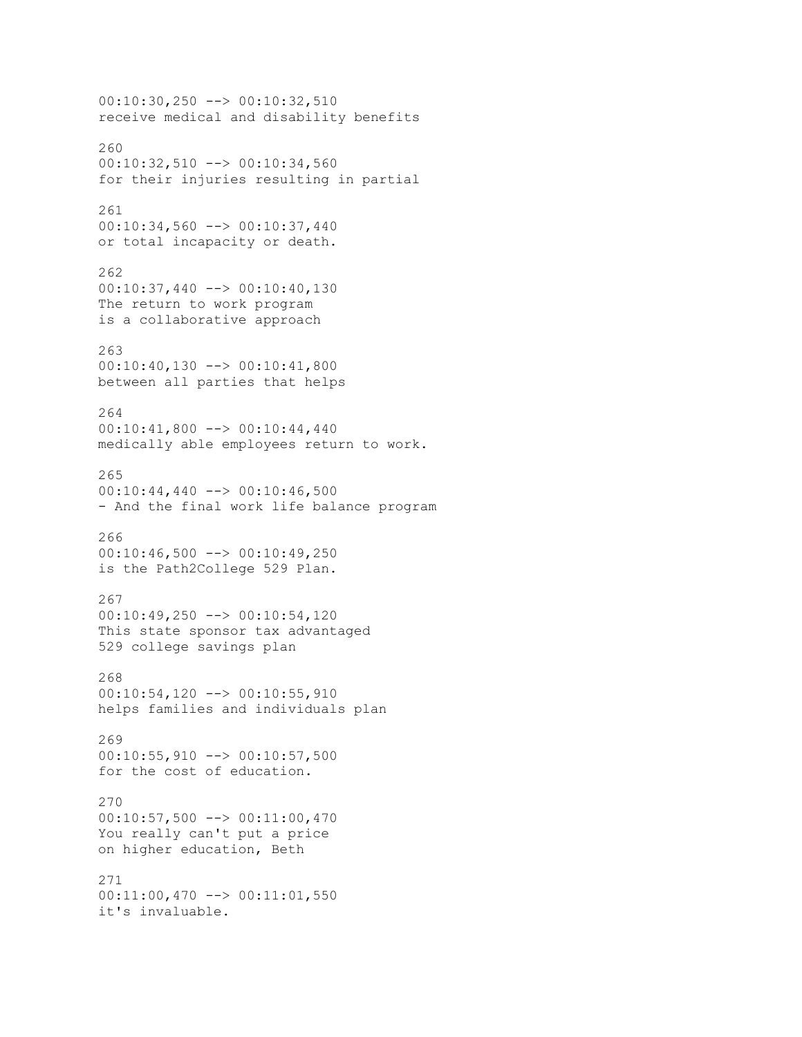```
00:10:30,250 --> 00:10:32,510
receive medical and disability benefits
260
00:10:32,510 --> 00:10:34,560
for their injuries resulting in partial
261
00:10:34,560 --> 00:10:37,440
or total incapacity or death.
262
00:10:37,440 --> 00:10:40,130
The return to work program
is a collaborative approach
263
00:10:40,130 --> 00:10:41,800
between all parties that helps
264
00:10:41,800 --> 00:10:44,440
medically able employees return to work.
265
00:10:44,440 --> 00:10:46,500
- And the final work life balance program
266
00:10:46,500 --> 00:10:49,250
is the Path2College 529 Plan.
267
00:10:49,250 --> 00:10:54,120
This state sponsor tax advantaged
529 college savings plan
268
00:10:54,120 --> 00:10:55,910helps families and individuals plan
269
00:10:55,910 --> 00:10:57,500
for the cost of education.
270
00:10:57,500 --> 00:11:00,470
You really can't put a price
on higher education, Beth
271
00:11:00,470 --> 00:11:01,550
it's invaluable.
```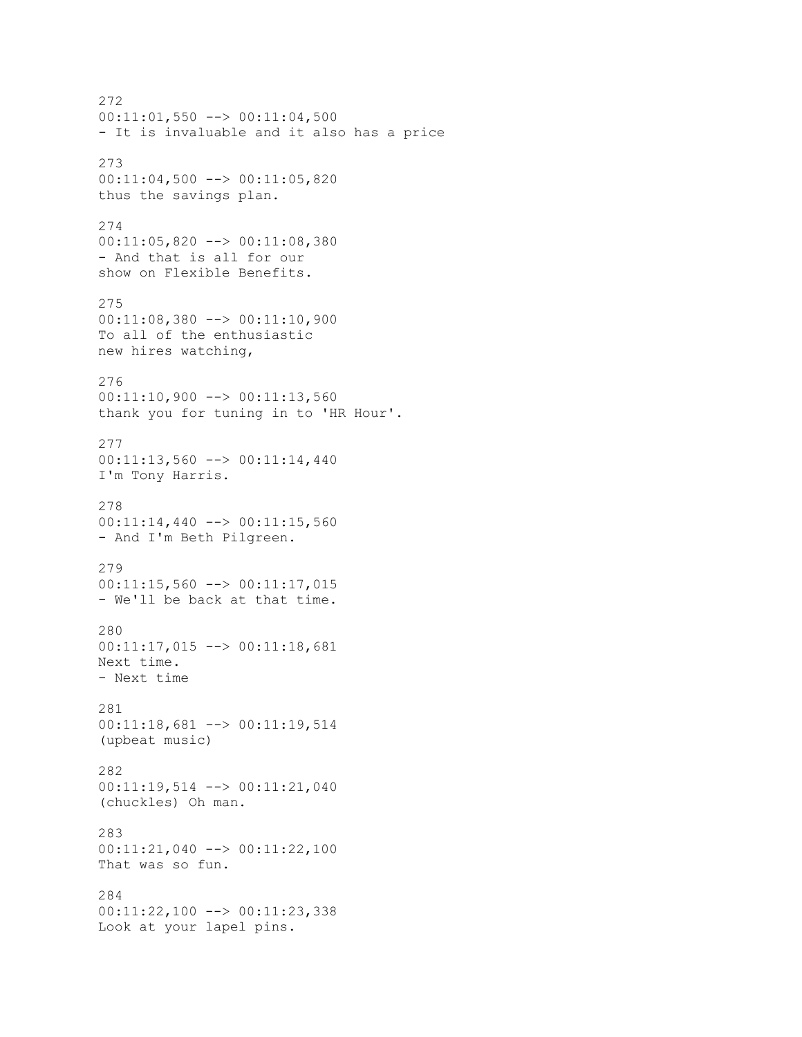272 00:11:01,550 --> 00:11:04,500 - It is invaluable and it also has a price 273 00:11:04,500 --> 00:11:05,820 thus the savings plan. 274 00:11:05,820 --> 00:11:08,380 - And that is all for our show on Flexible Benefits. 275 00:11:08,380 --> 00:11:10,900 To all of the enthusiastic new hires watching, 276  $00:11:10,900$  -->  $00:11:13,560$ thank you for tuning in to 'HR Hour'. 277 00:11:13,560 --> 00:11:14,440 I'm Tony Harris. 278 00:11:14,440 --> 00:11:15,560 - And I'm Beth Pilgreen. 279 00:11:15,560 --> 00:11:17,015 - We'll be back at that time. 280 00:11:17,015 --> 00:11:18,681 Next time. - Next time 281 00:11:18,681 --> 00:11:19,514 (upbeat music) 282 00:11:19,514 --> 00:11:21,040 (chuckles) Oh man. 283 00:11:21,040 --> 00:11:22,100 That was so fun. 284 00:11:22,100 --> 00:11:23,338 Look at your lapel pins.